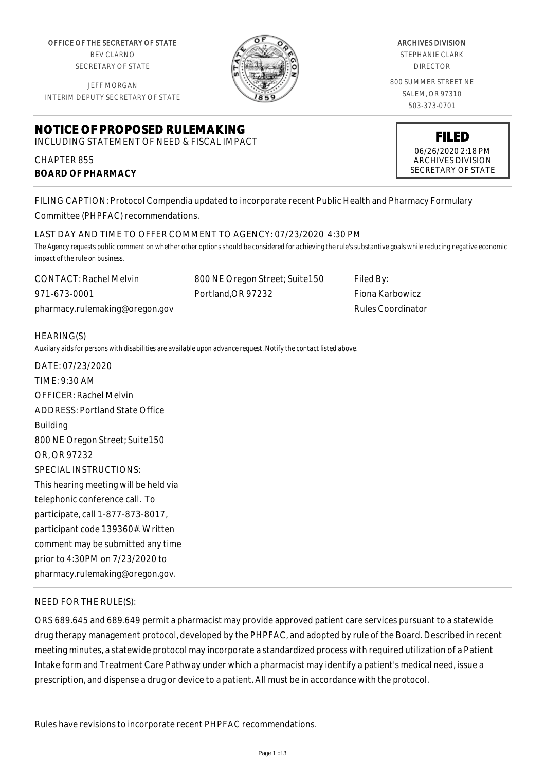OFFICE OF THE SECRETARY OF STATE BEV CLARNO SECRETARY OF STATE

JEFF MORGAN INTERIM DEPUTY SECRETARY OF STATE

# **NOTICE OF PROPOSED RULEMAKING** INCLUDING STATEMENT OF NEED & FISCAL IMPACT

CHAPTER 855

**BOARD OF PHARMACY**



ARCHIVES DIVISION

STEPHANIE CLARK DIRECTOR

800 SUMMER STREET NE SALEM, OR 97310 503-373-0701

**FILED**

06/26/2020 2:18 PM ARCHIVES DIVISION SECRETARY OF STATE

FILING CAPTION: Protocol Compendia updated to incorporate recent Public Health and Pharmacy Formulary Committee (PHPFAC) recommendations.

### LAST DAY AND TIME TO OFFER COMMENT TO AGENCY: 07/23/2020 4:30 PM

*The Agency requests public comment on whether other options should be considered for achieving the rule's substantive goals while reducing negative economic impact of the rule on business.*

| <b>CONTACT: Rachel Melvin</b>  | 800 NE Oregon Street; Suite150 | Filed By:         |
|--------------------------------|--------------------------------|-------------------|
| 971-673-0001                   | Portland.OR 97232              | - Fiona Karbowicz |
| pharmacy.rulemaking@oregon.gov |                                | Rules Coordinator |

### HEARING(S)

*Auxilary aids for persons with disabilities are available upon advance request. Notify the contact listed above.*

DATE: 07/23/2020 TIME: 9:30 AM OFFICER: Rachel Melvin ADDRESS: Portland State Office Building 800 NE Oregon Street; Suite150 OR, OR 97232 SPECIAL INSTRUCTIONS: This hearing meeting will be held via telephonic conference call. To participate, call 1-877-873-8017, participant code 139360#. Written comment may be submitted any time prior to 4:30PM on 7/23/2020 to pharmacy.rulemaking@oregon.gov.

## NEED FOR THE RULE(S):

ORS 689.645 and 689.649 permit a pharmacist may provide approved patient care services pursuant to a statewide drug therapy management protocol, developed by the PHPFAC, and adopted by rule of the Board. Described in recent meeting minutes, a statewide protocol may incorporate a standardized process with required utilization of a Patient Intake form and Treatment Care Pathway under which a pharmacist may identify a patient's medical need, issue a prescription, and dispense a drug or device to a patient. All must be in accordance with the protocol.

Rules have revisions to incorporate recent PHPFAC recommendations.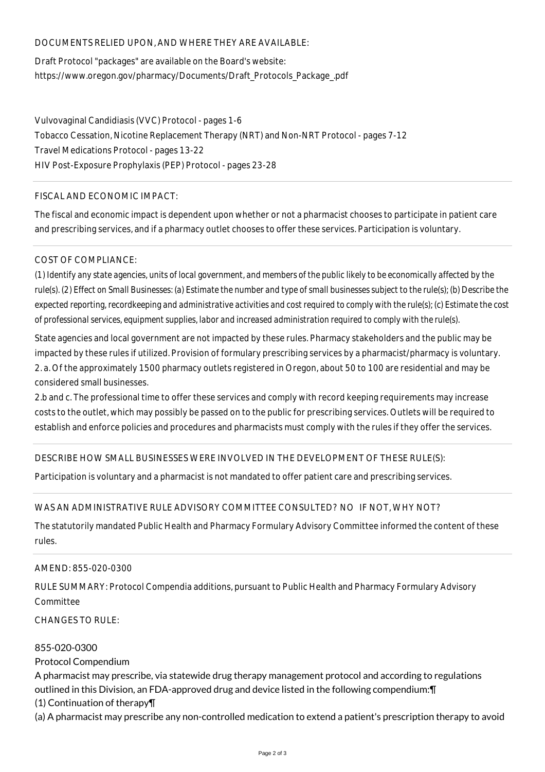### DOCUMENTS RELIED UPON, AND WHERE THEY ARE AVAILABLE:

Draft Protocol "packages" are available on the Board's website: https://www.oregon.gov/pharmacy/Documents/Draft\_Protocols\_Package\_.pdf

Vulvovaginal Candidiasis (VVC) Protocol - pages 1-6 Tobacco Cessation, Nicotine Replacement Therapy (NRT) and Non-NRT Protocol - pages 7-12 Travel Medications Protocol - pages 13-22 HIV Post-Exposure Prophylaxis (PEP) Protocol - pages 23-28

### FISCAL AND ECONOMIC IMPACT:

The fiscal and economic impact is dependent upon whether or not a pharmacist chooses to participate in patient care and prescribing services, and if a pharmacy outlet chooses to offer these services. Participation is voluntary.

### COST OF COMPLIANCE:

*(1) Identify any state agencies, units of local government, and members of the public likely to be economically affected by the rule(s). (2) Effect on Small Businesses: (a) Estimate the number and type of small businesses subject to the rule(s); (b) Describe the expected reporting, recordkeeping and administrative activities and cost required to comply with the rule(s); (c) Estimate the cost of professional services, equipment supplies, labor and increased administration required to comply with the rule(s).*

State agencies and local government are not impacted by these rules. Pharmacy stakeholders and the public may be impacted by these rules if utilized. Provision of formulary prescribing services by a pharmacist/pharmacy is voluntary. 2. a. Of the approximately 1500 pharmacy outlets registered in Oregon, about 50 to 100 are residential and may be considered small businesses.

2.b and c. The professional time to offer these services and comply with record keeping requirements may increase costs to the outlet, which may possibly be passed on to the public for prescribing services. Outlets will be required to establish and enforce policies and procedures and pharmacists must comply with the rules if they offer the services.

## DESCRIBE HOW SMALL BUSINESSES WERE INVOLVED IN THE DEVELOPMENT OF THESE RULE(S):

Participation is voluntary and a pharmacist is not mandated to offer patient care and prescribing services.

## WAS AN ADMINISTRATIVE RULE ADVISORY COMMITTEE CONSULTED? NO IF NOT, WHY NOT?

The statutorily mandated Public Health and Pharmacy Formulary Advisory Committee informed the content of these rules.

#### AMEND: 855-020-0300

RULE SUMMARY: Protocol Compendia additions, pursuant to Public Health and Pharmacy Formulary Advisory **Committee** 

 $CHANGFS TO RIIF$ 

#### 855-020-0300

Protocol Compendium

A pharmacist may prescribe, via statewide drug therapy management protocol and according to regulations outlined in this Division, an FDA-approved drug and device listed in the following compendium:¶ (1) Continuation of therapy¶

(a) A pharmacist may prescribe any non-controlled medication to extend a patient's prescription therapy to avoid